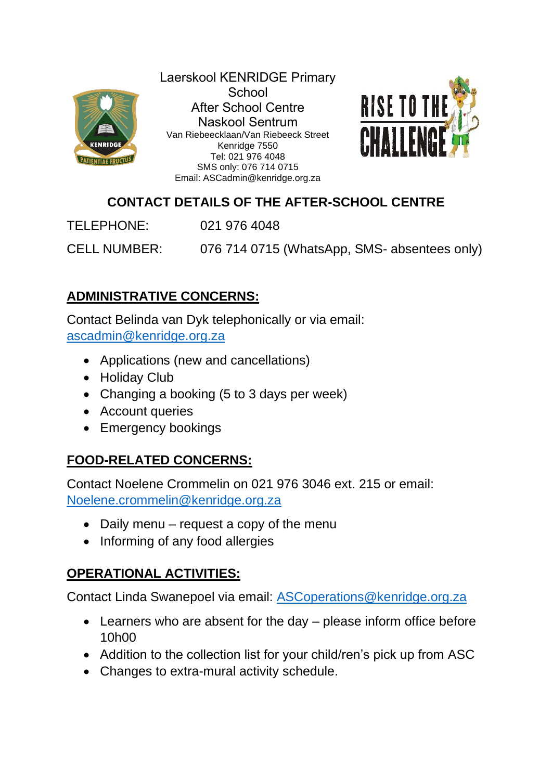

Laerskool KENRIDGE Primary **School** After School Centre Naskool Sentrum Van Riebeecklaan/Van Riebeeck Street Kenridge 7550 Tel: 021 976 4048 SMS only: 076 714 0715 Email: ASCadmin@kenridge.org.za



## **CONTACT DETAILS OF THE AFTER-SCHOOL CENTRE**

TELEPHONE: 021 976 4048

CELL NUMBER: 076 714 0715 (WhatsApp, SMS- absentees only)

# **ADMINISTRATIVE CONCERNS:**

Contact Belinda van Dyk telephonically or via email: [ascadmin@kenridge.org.za](mailto:ascadmin@kenridge.org.za)

- Applications (new and cancellations)
- Holiday Club
- Changing a booking (5 to 3 days per week)
- Account queries
- Emergency bookings

## **FOOD-RELATED CONCERNS:**

Contact Noelene Crommelin on 021 976 3046 ext. 215 or email: [Noelene.crommelin@kenridge.org.za](mailto:Noelene.crommelin@kenridge.org.za)

- Daily menu request a copy of the menu
- Informing of any food allergies

## **OPERATIONAL ACTIVITIES:**

Contact Linda Swanepoel via email: [ASCoperations@kenridge.org.za](mailto:ASCoperations@kenridge.org.za)

- Learners who are absent for the day please inform office before 10h00
- Addition to the collection list for your child/ren's pick up from ASC
- Changes to extra-mural activity schedule.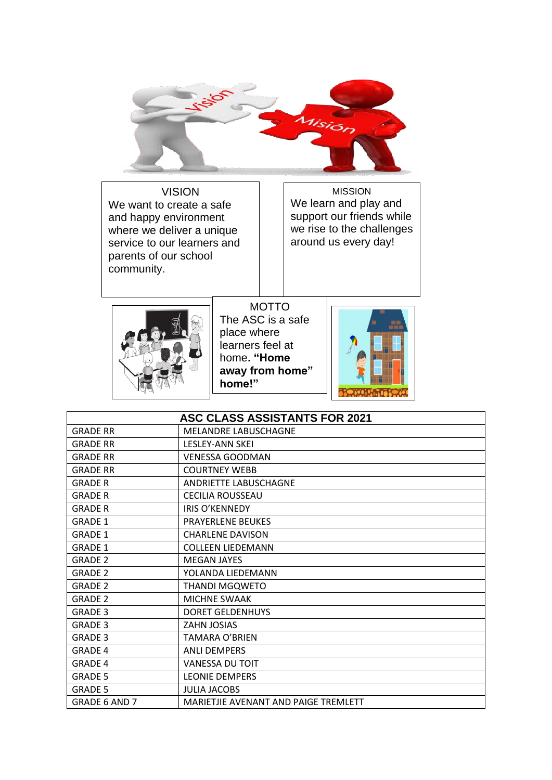

VISION We want to create a safe and happy environment where we deliver a unique service to our learners and parents of our school community.

 $\overline{a}$ 

MISSION We learn and play and support our friends while we rise to the challenges around us every day!



MOTTO The ASC is a safe place where learners feel at home**. "Home away from home" home!"**



| <b>ASC CLASS ASSISTANTS FOR 2021</b> |                                      |  |  |  |  |  |
|--------------------------------------|--------------------------------------|--|--|--|--|--|
| <b>GRADE RR</b>                      | <b>MELANDRE LABUSCHAGNE</b>          |  |  |  |  |  |
| <b>GRADE RR</b>                      | <b>LESLEY-ANN SKEI</b>               |  |  |  |  |  |
| <b>GRADE RR</b>                      | <b>VENESSA GOODMAN</b>               |  |  |  |  |  |
| <b>GRADE RR</b>                      | <b>COURTNEY WEBB</b>                 |  |  |  |  |  |
| <b>GRADE R</b>                       | <b>ANDRIETTE LABUSCHAGNE</b>         |  |  |  |  |  |
| <b>GRADE R</b>                       | <b>CECILIA ROUSSEAU</b>              |  |  |  |  |  |
| <b>GRADE R</b>                       | <b>IRIS O'KENNEDY</b>                |  |  |  |  |  |
| <b>GRADE 1</b>                       | <b>PRAYERLENE BEUKES</b>             |  |  |  |  |  |
| <b>GRADE 1</b>                       | <b>CHARLENE DAVISON</b>              |  |  |  |  |  |
| <b>GRADE 1</b>                       | <b>COLLEEN LIEDEMANN</b>             |  |  |  |  |  |
| <b>GRADE 2</b>                       | <b>MEGAN JAYES</b>                   |  |  |  |  |  |
| <b>GRADE 2</b>                       | YOLANDA LIEDEMANN                    |  |  |  |  |  |
| <b>GRADE 2</b>                       | THANDI MGQWETO                       |  |  |  |  |  |
| <b>GRADE 2</b>                       | MICHNE SWAAK                         |  |  |  |  |  |
| <b>GRADE 3</b>                       | <b>DORET GELDENHUYS</b>              |  |  |  |  |  |
| <b>GRADE 3</b>                       | ZAHN JOSIAS                          |  |  |  |  |  |
| <b>GRADE 3</b>                       | TAMARA O'BRIEN                       |  |  |  |  |  |
| <b>GRADE 4</b>                       | <b>ANLI DEMPERS</b>                  |  |  |  |  |  |
| <b>GRADE 4</b>                       | <b>VANESSA DU TOIT</b>               |  |  |  |  |  |
| <b>GRADE 5</b>                       | <b>LEONIE DEMPERS</b>                |  |  |  |  |  |
| <b>GRADE 5</b>                       | <b>JULIA JACOBS</b>                  |  |  |  |  |  |
| <b>GRADE 6 AND 7</b>                 | MARIETJIE AVENANT AND PAIGE TREMLETT |  |  |  |  |  |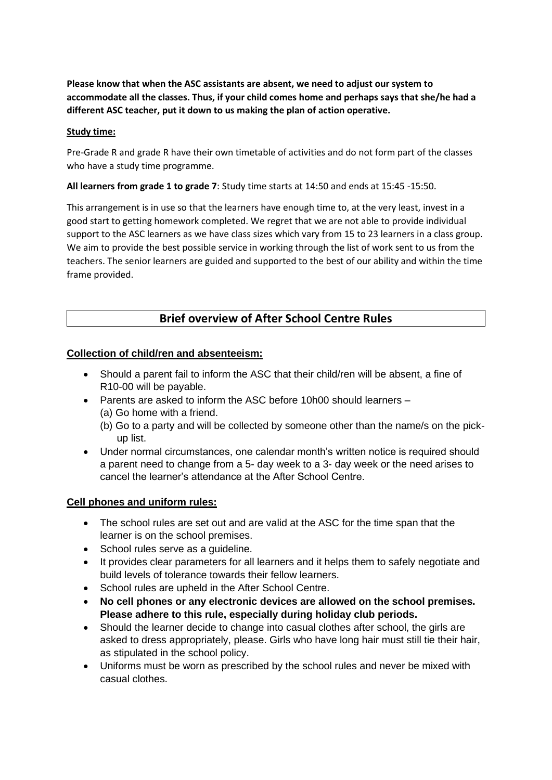**Please know that when the ASC assistants are absent, we need to adjust our system to accommodate all the classes. Thus, if your child comes home and perhaps says that she/he had a different ASC teacher, put it down to us making the plan of action operative.**

#### **Study time:**

Pre-Grade R and grade R have their own timetable of activities and do not form part of the classes who have a study time programme.

**All learners from grade 1 to grade 7**: Study time starts at 14:50 and ends at 15:45 -15:50.

This arrangement is in use so that the learners have enough time to, at the very least, invest in a good start to getting homework completed. We regret that we are not able to provide individual support to the ASC learners as we have class sizes which vary from 15 to 23 learners in a class group. We aim to provide the best possible service in working through the list of work sent to us from the teachers. The senior learners are guided and supported to the best of our ability and within the time frame provided.

### **Brief overview of After School Centre Rules**

#### **Collection of child/ren and absenteeism:**

- Should a parent fail to inform the ASC that their child/ren will be absent, a fine of R10-00 will be payable.
- Parents are asked to inform the ASC before 10h00 should learners
	- (a) Go home with a friend.
	- (b) Go to a party and will be collected by someone other than the name/s on the pickup list.
- Under normal circumstances, one calendar month's written notice is required should a parent need to change from a 5- day week to a 3- day week or the need arises to cancel the learner's attendance at the After School Centre.

#### **Cell phones and uniform rules:**

- The school rules are set out and are valid at the ASC for the time span that the learner is on the school premises.
- School rules serve as a guideline.
- It provides clear parameters for all learners and it helps them to safely negotiate and build levels of tolerance towards their fellow learners.
- School rules are upheld in the After School Centre.
- **No cell phones or any electronic devices are allowed on the school premises. Please adhere to this rule, especially during holiday club periods.**
- Should the learner decide to change into casual clothes after school, the girls are asked to dress appropriately, please. Girls who have long hair must still tie their hair, as stipulated in the school policy.
- Uniforms must be worn as prescribed by the school rules and never be mixed with casual clothes.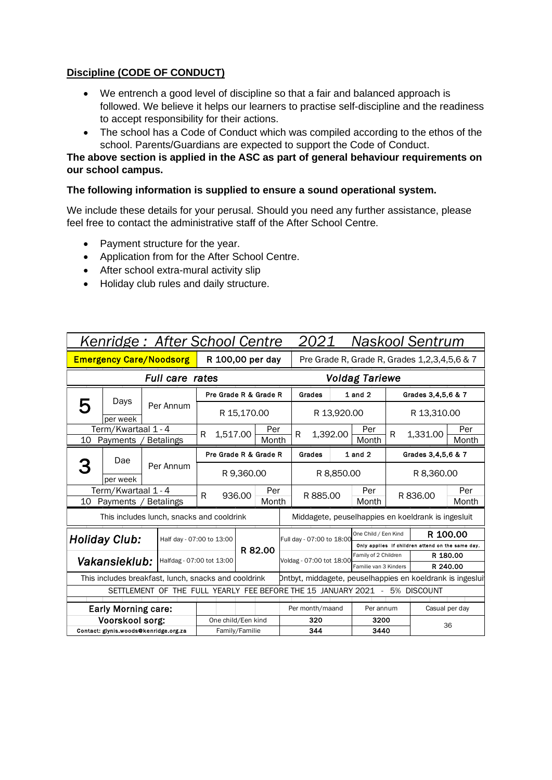### **Discipline (CODE OF CONDUCT)**

- We entrench a good level of discipline so that a fair and balanced approach is followed. We believe it helps our learners to practise self-discipline and the readiness to accept responsibility for their actions.
- The school has a Code of Conduct which was compiled according to the ethos of the school. Parents/Guardians are expected to support the Code of Conduct.

#### **The above section is applied in the ASC as part of general behaviour requirements on our school campus.**

#### **The following information is supplied to ensure a sound operational system.**

We include these details for your perusal. Should you need any further assistance, please feel free to contact the administrative staff of the After School Centre.

- Payment structure for the year.
- Application from for the After School Centre.
- After school extra-mural activity slip
- Holiday club rules and daily structure.

| Kenridge: After School Centre                                              |                                                      |                  |                           |                               |              |              |                          | 2021                                         |                                               |                      |                                                           | <b>Naskool Sentrum</b>                             |                |  |
|----------------------------------------------------------------------------|------------------------------------------------------|------------------|---------------------------|-------------------------------|--------------|--------------|--------------------------|----------------------------------------------|-----------------------------------------------|----------------------|-----------------------------------------------------------|----------------------------------------------------|----------------|--|
| <b>Emergency Care/Noodsorg</b>                                             |                                                      |                  |                           | R 100,00 per day              |              |              |                          | Pre Grade R, Grade R, Grades 1,2,3,4,5,6 & 7 |                                               |                      |                                                           |                                                    |                |  |
|                                                                            |                                                      |                  | Full care rates           |                               |              |              |                          | <b>Voldag Tariewe</b>                        |                                               |                      |                                                           |                                                    |                |  |
|                                                                            | Days                                                 |                  |                           | Pre Grade R & Grade R         |              |              |                          | Grades                                       |                                               | $1$ and $2$          |                                                           | Grades 3,4,5,6 & 7                                 |                |  |
| 5                                                                          | per week                                             |                  | Per Annum                 |                               | R 15,170.00  |              |                          | R 13,920.00                                  |                                               |                      | R 13,310.00                                               |                                                    |                |  |
| 10                                                                         | Term/Kwartaal 1 - 4<br>Payments                      | <b>Betalings</b> |                           | 1,517.00<br>R                 |              | Per<br>Month |                          | 1,392.00<br>R                                |                                               | Per<br>Month         | R                                                         | 1,331.00                                           | Per<br>Month   |  |
|                                                                            | Dae                                                  |                  |                           | Pre Grade R & Grade R         |              |              |                          | Grades                                       |                                               | $1$ and $2$          |                                                           | Grades 3,4,5,6 & 7                                 |                |  |
|                                                                            | per week                                             |                  | Per Annum                 | R 9,360.00                    |              |              |                          | R 8,850.00                                   |                                               |                      | R 8,360.00                                                |                                                    |                |  |
| 10                                                                         | Term/Kwartaal 1 - 4<br>Payments                      |                  | <b>Betalings</b>          | R<br>936.00                   | Per<br>Month |              | Per<br>R 885.00          |                                              | Month                                         | R 836.00             |                                                           | Per<br>Month                                       |                |  |
|                                                                            | This includes lunch, snacks and cooldrink            |                  |                           |                               |              |              |                          |                                              |                                               |                      |                                                           | Middagete, peuselhappies en koeldrank is ingesluit |                |  |
|                                                                            | Holiday Club:                                        |                  | Half day - 07:00 to 13:00 |                               |              |              |                          | Full day - 07:00 to 18:00                    |                                               | One Child / Een Kind |                                                           | R 100.00                                           |                |  |
|                                                                            |                                                      |                  |                           |                               |              | R 82.00      |                          |                                              |                                               |                      |                                                           | Only applies if children attend on the same day.   |                |  |
|                                                                            | Vakansieklub:                                        |                  |                           | Halfdag - 07:00 tot 13:00     |              |              | Voldag - 07:00 tot 18:00 |                                              | Family of 2 Children<br>Familie van 3 Kinders |                      | R 180.00<br>R 240.00                                      |                                                    |                |  |
|                                                                            | This includes breakfast, lunch, snacks and cooldrink |                  |                           |                               |              |              |                          |                                              |                                               |                      | Dntbyt, middagete, peuselhappies en koeldrank is ingeslui |                                                    |                |  |
| SETTLEMENT OF THE FULL YEARLY FEE BEFORE THE 15 JANUARY 2021 - 5% DISCOUNT |                                                      |                  |                           |                               |              |              |                          |                                              |                                               |                      |                                                           |                                                    |                |  |
|                                                                            |                                                      |                  |                           |                               |              |              |                          |                                              |                                               |                      |                                                           |                                                    |                |  |
|                                                                            | <b>Early Morning care:</b>                           |                  |                           |                               |              |              |                          | Per month/maand                              |                                               | Per annum            |                                                           |                                                    | Casual per day |  |
|                                                                            | Voorskool sorg:                                      |                  |                           | One child/Een kind            |              |              |                          | 320                                          |                                               | 3200                 |                                                           | 36                                                 |                |  |
| Contact: glynis.woods@kenridge.org.za                                      |                                                      |                  |                           | 344<br>3440<br>Family/Familie |              |              |                          |                                              |                                               |                      |                                                           |                                                    |                |  |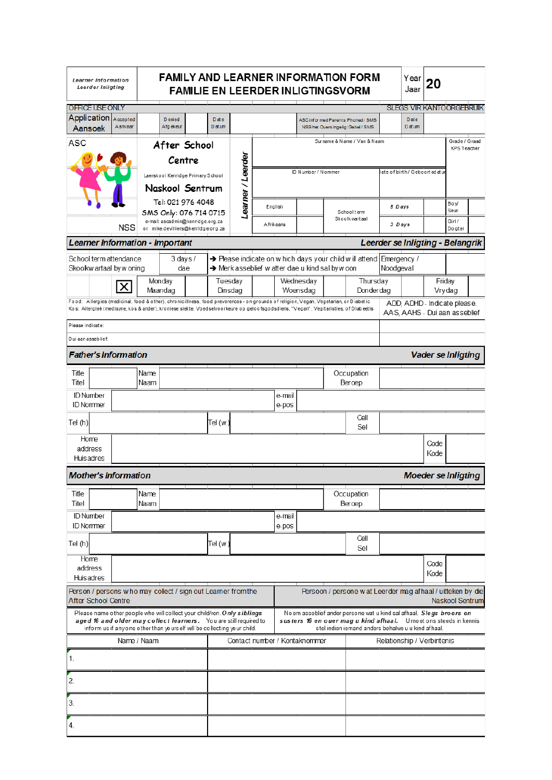| <b>FAMILY AND LEARNER INFORMATION FORM</b><br>Learner Information<br>Leerder Inligting<br><b>FAMILIE EN LEERDER INLIGTINGSVORM</b>                                                                                                                                                                                                                                                                                       |  |                                |              |                     |                                                                        |                                                                                             |                   |  |                               |                                                  |                                                                                |                                                                                                                                     | Year<br>Jaar                     | 20 |                                                               |                                     |  |  |  |
|--------------------------------------------------------------------------------------------------------------------------------------------------------------------------------------------------------------------------------------------------------------------------------------------------------------------------------------------------------------------------------------------------------------------------|--|--------------------------------|--------------|---------------------|------------------------------------------------------------------------|---------------------------------------------------------------------------------------------|-------------------|--|-------------------------------|--------------------------------------------------|--------------------------------------------------------------------------------|-------------------------------------------------------------------------------------------------------------------------------------|----------------------------------|----|---------------------------------------------------------------|-------------------------------------|--|--|--|
| OFFICE USE ONLY                                                                                                                                                                                                                                                                                                                                                                                                          |  |                                |              |                     |                                                                        |                                                                                             |                   |  |                               |                                                  |                                                                                |                                                                                                                                     |                                  |    | <b>SLEGS VIR KANTOORGEBRUIK</b>                               |                                     |  |  |  |
| Application Accepted<br>Aansoek                                                                                                                                                                                                                                                                                                                                                                                          |  | Aanvaar                        |              | D enied<br>Afgekeur |                                                                        | Date<br>ASC informed Parents: Phoned / SMS<br>D at um<br>NSS het Ouers ingelig: Gebel / SMS |                   |  |                               |                                                  | <b>D</b> ate<br>D at um                                                        |                                                                                                                                     |                                  |    |                                                               |                                     |  |  |  |
| <b>ASC</b>                                                                                                                                                                                                                                                                                                                                                                                                               |  |                                |              |                     | After School                                                           |                                                                                             |                   |  |                               |                                                  |                                                                                | Surname & N ame / Van & Naam                                                                                                        |                                  |    |                                                               | Grade / Graad<br><b>KPS Teacher</b> |  |  |  |
|                                                                                                                                                                                                                                                                                                                                                                                                                          |  |                                |              |                     | Centre                                                                 |                                                                                             | Learner / Leerder |  |                               |                                                  |                                                                                |                                                                                                                                     |                                  |    |                                                               |                                     |  |  |  |
|                                                                                                                                                                                                                                                                                                                                                                                                                          |  |                                |              |                     | Laerskool Kenridge Primary School                                      |                                                                                             |                   |  |                               | ID Number / Nommer                               |                                                                                |                                                                                                                                     | ate of birth / Geboorted at u    |    |                                                               |                                     |  |  |  |
|                                                                                                                                                                                                                                                                                                                                                                                                                          |  |                                |              |                     | Naskool Sentrum                                                        |                                                                                             |                   |  |                               |                                                  |                                                                                |                                                                                                                                     |                                  |    |                                                               |                                     |  |  |  |
|                                                                                                                                                                                                                                                                                                                                                                                                                          |  |                                |              |                     | Tel: 021 976 4048<br>SMS Only: 076 714 0715                            |                                                                                             |                   |  | English                       |                                                  |                                                                                | Schoolterm                                                                                                                          | 5 Days                           |    |                                                               | Bo y/<br>Seun                       |  |  |  |
|                                                                                                                                                                                                                                                                                                                                                                                                                          |  | <b>NSS</b>                     |              |                     | e-mail: ascadmin@kenridge.org.za<br>or mike.devilliers@kenridge.org.za |                                                                                             |                   |  | A frikaans                    |                                                  |                                                                                | Skoolkwartaal                                                                                                                       | 3 Days                           |    |                                                               | Girl /<br>Dogter                    |  |  |  |
|                                                                                                                                                                                                                                                                                                                                                                                                                          |  | earner Information - Important |              |                     |                                                                        |                                                                                             |                   |  |                               |                                                  |                                                                                |                                                                                                                                     | Leerder se Inligting - Belangrik |    |                                                               |                                     |  |  |  |
| School term attendance<br>Skoolkw artaal by w oning                                                                                                                                                                                                                                                                                                                                                                      |  |                                |              |                     | $3$ days $/$<br>dae                                                    |                                                                                             |                   |  |                               | > Merk asseblief w atter dae u kind sal by w oon |                                                                                | → Please indicate on w hich days your child w ill attend Emergency /                                                                | Noodgeval                        |    |                                                               |                                     |  |  |  |
|                                                                                                                                                                                                                                                                                                                                                                                                                          |  |                                |              | Monday              |                                                                        |                                                                                             | Tuesday           |  |                               | Wednesdav                                        |                                                                                | Thursday                                                                                                                            |                                  |    | Friday                                                        |                                     |  |  |  |
| Food: Allergies (medicinal, food & other), chronic illness, food preverences - on grounds of religion, Vegan, Vegetarian, or Diabetic                                                                                                                                                                                                                                                                                    |  | X                              |              | Maandag             |                                                                        |                                                                                             | Dinsdag           |  |                               | Woensdag                                         |                                                                                | Donderdag                                                                                                                           |                                  |    |                                                               | Vrydag                              |  |  |  |
|                                                                                                                                                                                                                                                                                                                                                                                                                          |  |                                |              |                     |                                                                        |                                                                                             |                   |  |                               |                                                  |                                                                                | Kos: Allergieë (medisyne, kos & ander), kroniese siekte, Voedselvoorkeure op geloofsgodsdiens, "Vegan", Vegitaristies, of Diabeetis |                                  |    | ADD, ADHD - Indicate please.<br>AAS, AAHS - Dui aan asseblief |                                     |  |  |  |
| Please indicate:                                                                                                                                                                                                                                                                                                                                                                                                         |  |                                |              |                     |                                                                        |                                                                                             |                   |  |                               |                                                  |                                                                                |                                                                                                                                     |                                  |    |                                                               |                                     |  |  |  |
| Dui aan asseblief:<br><b>Father's Information</b>                                                                                                                                                                                                                                                                                                                                                                        |  |                                |              |                     |                                                                        |                                                                                             |                   |  |                               |                                                  |                                                                                |                                                                                                                                     |                                  |    | <b>Vader se Inligting</b>                                     |                                     |  |  |  |
| Title                                                                                                                                                                                                                                                                                                                                                                                                                    |  |                                | Name         |                     |                                                                        |                                                                                             |                   |  |                               |                                                  |                                                                                | Occupation                                                                                                                          |                                  |    |                                                               |                                     |  |  |  |
| Titel                                                                                                                                                                                                                                                                                                                                                                                                                    |  |                                | Naam         |                     |                                                                        |                                                                                             |                   |  |                               |                                                  |                                                                                | Beroep                                                                                                                              |                                  |    |                                                               |                                     |  |  |  |
| <b>ID Number</b><br><b>ID Nommer</b>                                                                                                                                                                                                                                                                                                                                                                                     |  |                                |              |                     |                                                                        |                                                                                             |                   |  | e-mail<br>e-pos               |                                                  |                                                                                |                                                                                                                                     |                                  |    |                                                               |                                     |  |  |  |
| Tel (h)                                                                                                                                                                                                                                                                                                                                                                                                                  |  |                                |              |                     |                                                                        | Tel (w                                                                                      |                   |  |                               |                                                  |                                                                                | Cell<br>Sel                                                                                                                         |                                  |    |                                                               |                                     |  |  |  |
| Home<br>address                                                                                                                                                                                                                                                                                                                                                                                                          |  |                                |              |                     |                                                                        |                                                                                             |                   |  |                               |                                                  |                                                                                |                                                                                                                                     |                                  |    | Code<br>Kode                                                  |                                     |  |  |  |
| Huisadres                                                                                                                                                                                                                                                                                                                                                                                                                |  |                                |              |                     |                                                                        |                                                                                             |                   |  |                               |                                                  |                                                                                |                                                                                                                                     |                                  |    |                                                               |                                     |  |  |  |
| <b>Mother's Information</b>                                                                                                                                                                                                                                                                                                                                                                                              |  |                                |              |                     |                                                                        |                                                                                             |                   |  |                               |                                                  |                                                                                |                                                                                                                                     |                                  |    | <b>Moeder se Inligting</b>                                    |                                     |  |  |  |
| Title<br>Titel                                                                                                                                                                                                                                                                                                                                                                                                           |  |                                | Name<br>Naam |                     |                                                                        |                                                                                             |                   |  |                               |                                                  |                                                                                | Occupation<br>Beroep                                                                                                                |                                  |    |                                                               |                                     |  |  |  |
| <b>ID Number</b><br><b>ID Nommer</b>                                                                                                                                                                                                                                                                                                                                                                                     |  |                                |              |                     |                                                                        |                                                                                             |                   |  | e-mail<br>e-pos               |                                                  |                                                                                |                                                                                                                                     |                                  |    |                                                               |                                     |  |  |  |
| Tel(h)                                                                                                                                                                                                                                                                                                                                                                                                                   |  |                                |              |                     |                                                                        | Tel (w )                                                                                    |                   |  |                               |                                                  |                                                                                | Cell<br>Sel                                                                                                                         |                                  |    |                                                               |                                     |  |  |  |
| Home<br>address                                                                                                                                                                                                                                                                                                                                                                                                          |  |                                |              |                     |                                                                        |                                                                                             |                   |  |                               |                                                  |                                                                                |                                                                                                                                     |                                  |    | Code                                                          |                                     |  |  |  |
| Huisadres                                                                                                                                                                                                                                                                                                                                                                                                                |  |                                |              |                     |                                                                        |                                                                                             |                   |  |                               |                                                  |                                                                                |                                                                                                                                     |                                  |    | Kode                                                          |                                     |  |  |  |
| Person / persons w ho may collect / sign out Learner from the<br><b>After School Centre</b>                                                                                                                                                                                                                                                                                                                              |  |                                |              |                     |                                                                        |                                                                                             |                   |  |                               |                                                  | Persoon / persone w at Leerder mag afhaal / uitteken by die<br>Naskool Sentrum |                                                                                                                                     |                                  |    |                                                               |                                     |  |  |  |
| Please name other people who will collect your child/ren. Only siblings<br>No em asseblief ander persone wat u kind sal afhaal. Slegs broers en<br>aged 16 and older may collect learners. You are still required to<br>susters 16 en ouer mag u kind afhaal. Umoet ons steeds in kennis<br>inform us if anyone other than yourself will be collecting your child.<br>stel indien iemand anders behalwe u u kind afhaal. |  |                                |              |                     |                                                                        |                                                                                             |                   |  |                               |                                                  |                                                                                |                                                                                                                                     |                                  |    |                                                               |                                     |  |  |  |
| Name / Naam                                                                                                                                                                                                                                                                                                                                                                                                              |  |                                |              |                     |                                                                        |                                                                                             |                   |  | Contact number / Kontaknommer |                                                  | Relationship / Verbintenis                                                     |                                                                                                                                     |                                  |    |                                                               |                                     |  |  |  |
| 1.                                                                                                                                                                                                                                                                                                                                                                                                                       |  |                                |              |                     |                                                                        |                                                                                             |                   |  |                               |                                                  |                                                                                |                                                                                                                                     |                                  |    |                                                               |                                     |  |  |  |
| 2.                                                                                                                                                                                                                                                                                                                                                                                                                       |  |                                |              |                     |                                                                        |                                                                                             |                   |  |                               |                                                  |                                                                                |                                                                                                                                     |                                  |    |                                                               |                                     |  |  |  |
| 3.                                                                                                                                                                                                                                                                                                                                                                                                                       |  |                                |              |                     |                                                                        |                                                                                             |                   |  |                               |                                                  |                                                                                |                                                                                                                                     |                                  |    |                                                               |                                     |  |  |  |
| 4.                                                                                                                                                                                                                                                                                                                                                                                                                       |  |                                |              |                     |                                                                        |                                                                                             |                   |  |                               |                                                  |                                                                                |                                                                                                                                     |                                  |    |                                                               |                                     |  |  |  |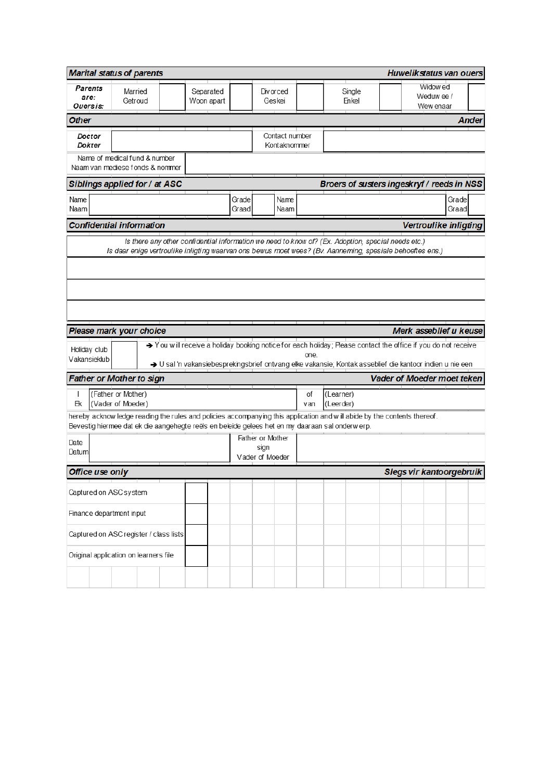|                                                                             | <b>Huwelikstatus van ouers</b><br><b>Marital status of parents</b>                              |                                                 |                |                                |                                     |                                                                                                    |                                                                                                                          |                          |  |  |  |
|-----------------------------------------------------------------------------|-------------------------------------------------------------------------------------------------|-------------------------------------------------|----------------|--------------------------------|-------------------------------------|----------------------------------------------------------------------------------------------------|--------------------------------------------------------------------------------------------------------------------------|--------------------------|--|--|--|
| Parents<br>are:<br>Ouersis:                                                 | Married<br>Getroud                                                                              | Separated<br>Div or ced<br>Woon apart<br>Geskei |                |                                |                                     | Widow ed<br>Single<br>Weduw ee /<br>Enkel<br>Wew enaar                                             |                                                                                                                          |                          |  |  |  |
| Other                                                                       |                                                                                                 |                                                 |                |                                |                                     |                                                                                                    |                                                                                                                          | <b>Ander</b>             |  |  |  |
| Doctor<br>Dokter                                                            |                                                                                                 |                                                 |                | Contact number<br>Kontaknommer |                                     |                                                                                                    |                                                                                                                          |                          |  |  |  |
|                                                                             | Name of medical fund & number<br>Naam van mediese fonds & nommer                                |                                                 |                |                                |                                     |                                                                                                    |                                                                                                                          |                          |  |  |  |
| Broers of susters ingeskryf / reeds in NSS<br>Siblings applied for / at ASC |                                                                                                 |                                                 |                |                                |                                     |                                                                                                    |                                                                                                                          |                          |  |  |  |
| Name<br>Naam                                                                |                                                                                                 |                                                 | Grade<br>Graad | Name<br>Naam                   |                                     |                                                                                                    |                                                                                                                          | Grade<br>Graad           |  |  |  |
|                                                                             | <b>Confidential information</b>                                                                 |                                                 |                |                                |                                     |                                                                                                    |                                                                                                                          | Vertroulike inligting    |  |  |  |
|                                                                             |                                                                                                 |                                                 |                |                                |                                     | Is there any other confidential information we need to know of? (Ex. Adoption, special needs etc.) |                                                                                                                          |                          |  |  |  |
|                                                                             |                                                                                                 |                                                 |                |                                |                                     |                                                                                                    | Is daar enige vertroulike inligting waarvan ons bewus moet wees? (Bv. Aanneming, spesiale behoeftes ens.)                |                          |  |  |  |
|                                                                             |                                                                                                 |                                                 |                |                                |                                     |                                                                                                    |                                                                                                                          |                          |  |  |  |
|                                                                             |                                                                                                 |                                                 |                |                                |                                     |                                                                                                    |                                                                                                                          |                          |  |  |  |
|                                                                             |                                                                                                 |                                                 |                |                                |                                     |                                                                                                    |                                                                                                                          |                          |  |  |  |
|                                                                             |                                                                                                 |                                                 |                |                                |                                     |                                                                                                    |                                                                                                                          |                          |  |  |  |
|                                                                             | Please mark your choice                                                                         |                                                 |                |                                |                                     |                                                                                                    |                                                                                                                          | Merk asseblief u keuse   |  |  |  |
| Holiday club                                                                |                                                                                                 |                                                 |                |                                | one.                                |                                                                                                    | → You will receive a holiday booking notice for each holiday; Please contact the office if you do not receive            |                          |  |  |  |
| Vakansieklub                                                                |                                                                                                 |                                                 |                |                                |                                     |                                                                                                    | → U sal 'n vakansiebesprekingsbrief ontvang elke vakansie; Kontak asseblief die kantoor indien u nie een                 |                          |  |  |  |
|                                                                             | <b>Father or Mother to sign</b>                                                                 |                                                 |                |                                |                                     |                                                                                                    | Vader of Moeder moet teken                                                                                               |                          |  |  |  |
| $\overline{\phantom{a}}$<br>Еk                                              | (Father or Mother)<br>(Vader of Moeder)                                                         |                                                 |                |                                | (Learner)<br>οf<br>(Leerder)<br>van |                                                                                                    |                                                                                                                          |                          |  |  |  |
|                                                                             |                                                                                                 |                                                 |                |                                |                                     |                                                                                                    | hereby acknow ledge reading the rules and policies accompanying this application and will abide by the contents thereof. |                          |  |  |  |
|                                                                             | Bevestig hiermee dat ek die aangehegte reëls en beleide gelees het en my daaraan sal onderwerp. |                                                 |                |                                |                                     |                                                                                                    |                                                                                                                          |                          |  |  |  |
| Date                                                                        |                                                                                                 |                                                 |                | Father or Mother<br>sign       |                                     |                                                                                                    |                                                                                                                          |                          |  |  |  |
| Datum                                                                       |                                                                                                 |                                                 |                | Vader of Moeder                |                                     |                                                                                                    |                                                                                                                          |                          |  |  |  |
| Office use only                                                             |                                                                                                 |                                                 |                |                                |                                     |                                                                                                    |                                                                                                                          | Slegs vir kantoorgebruik |  |  |  |
| Captured on ASC system                                                      |                                                                                                 |                                                 |                |                                |                                     |                                                                                                    |                                                                                                                          |                          |  |  |  |
|                                                                             | Finance department input                                                                        |                                                 |                |                                |                                     |                                                                                                    |                                                                                                                          |                          |  |  |  |
|                                                                             | Captured on ASC register / class lists                                                          |                                                 |                |                                |                                     |                                                                                                    |                                                                                                                          |                          |  |  |  |
|                                                                             | Original application on learners file                                                           |                                                 |                |                                |                                     |                                                                                                    |                                                                                                                          |                          |  |  |  |
|                                                                             |                                                                                                 |                                                 |                |                                |                                     |                                                                                                    |                                                                                                                          |                          |  |  |  |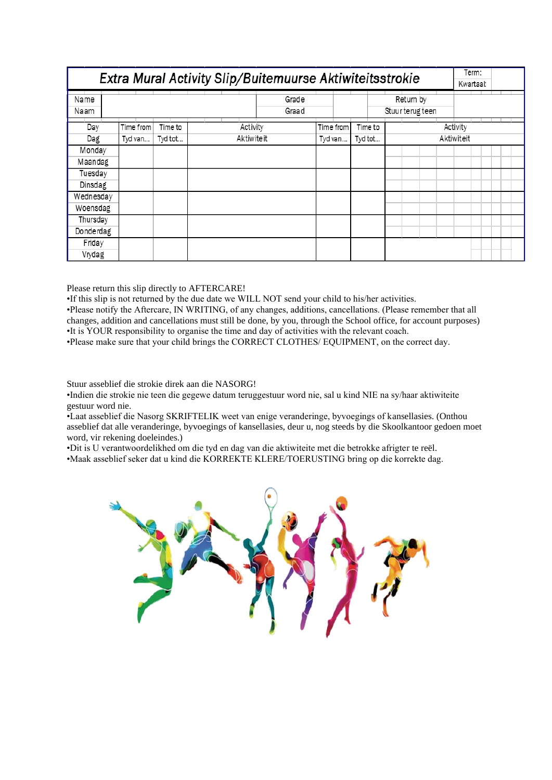| Extra Mural Activity Slip/Buitemuurse Aktiwiteitsstrokie |           |         |            |                |           |  |         |            |           | Kwartaal:        | Term: |          |  |  |  |
|----------------------------------------------------------|-----------|---------|------------|----------------|-----------|--|---------|------------|-----------|------------------|-------|----------|--|--|--|
| Name<br>Naam                                             |           |         |            | Grade<br>Graad |           |  |         |            | Return by | Stuur terug teen |       |          |  |  |  |
| Day                                                      | Time from | Time to | Activity   |                | Time from |  | Time to |            |           |                  |       | Activity |  |  |  |
| Dag                                                      | Tyd van   | Tyd tot | Aktiwiteit |                | Tyd van   |  | Tyd tot | Aktiwiteit |           |                  |       |          |  |  |  |
| Monday                                                   |           |         |            |                |           |  |         |            |           |                  |       |          |  |  |  |
| Maandag                                                  |           |         |            |                |           |  |         |            |           |                  |       |          |  |  |  |
| Tuesday                                                  |           |         |            |                |           |  |         |            |           |                  |       |          |  |  |  |
| Dinsdag                                                  |           |         |            |                |           |  |         |            |           |                  |       |          |  |  |  |
| Wednesday                                                |           |         |            |                |           |  |         |            |           |                  |       |          |  |  |  |
| Woensdag                                                 |           |         |            |                |           |  |         |            |           |                  |       |          |  |  |  |
| Thursday                                                 |           |         |            |                |           |  |         |            |           |                  |       |          |  |  |  |
| Donderdag                                                |           |         |            |                |           |  |         |            |           |                  |       |          |  |  |  |
| Friday                                                   |           |         |            |                |           |  |         |            |           |                  |       |          |  |  |  |
| Vrydag                                                   |           |         |            |                |           |  |         |            |           |                  |       |          |  |  |  |

Please return this slip directly to AFTERCARE!

•If this slip is not returned by the due date we WILL NOT send your child to his/her activities.

•Please notify the Aftercare, IN WRITING, of any changes, additions, cancellations. (Please remember that all changes, addition and cancellations must still be done, by you, through the School office, for account purposes) •It is YOUR responsibility to organise the time and day of activities with the relevant coach.

•Please make sure that your child brings the CORRECT CLOTHES/ EQUIPMENT, on the correct day.

Stuur asseblief die strokie direk aan die NASORG!

•Indien die strokie nie teen die gegewe datum teruggestuur word nie, sal u kind NIE na sy/haar aktiwiteite gestuur word nie.

•Laat asseblief die Nasorg SKRIFTELIK weet van enige veranderinge, byvoegings of kansellasies. (Onthou asseblief dat alle veranderinge, byvoegings of kansellasies, deur u, nog steeds by die Skoolkantoor gedoen moet word, vir rekening doeleindes.)

•Dit is U verantwoordelikhed om die tyd en dag van die aktiwiteite met die betrokke afrigter te reël.

•Maak asseblief seker dat u kind die KORREKTE KLERE/TOERUSTING bring op die korrekte dag.